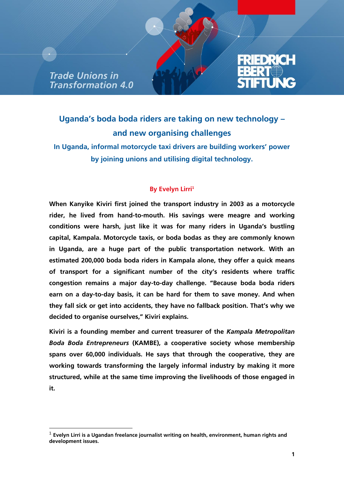**Trade Unions in** Transformation 4.0

-



## **Uganda's boda boda riders are taking on new technology – and new organising challenges**

**In Uganda, informal motorcycle taxi drivers are building workers' power by joining unions and utilising digital technology.**

## **By Evelyn Lirri<sup>1</sup>**

**When Kanyike Kiviri first joined the transport industry in 2003 as a motorcycle rider, he lived from hand-to-mouth. His savings were meagre and working conditions were harsh, just like it was for many riders in Uganda's bustling capital, Kampala. Motorcycle taxis, or boda bodas as they are commonly known in Uganda, are a huge part of the public transportation network. With an estimated 200,000 boda boda riders in Kampala alone, they offer a quick means of transport for a significant number of the city's residents where traffic congestion remains a major day-to-day challenge. "Because boda boda riders earn on a day-to-day basis, it can be hard for them to save money. And when they fall sick or get into accidents, they have no fallback position. That's why we decided to organise ourselves," Kiviri explains.**

**Kiviri is a founding member and current treasurer of the** *Kampala Metropolitan Boda Boda Entrepreneurs* **(KAMBE), a cooperative society whose membership spans over 60,000 individuals. He says that through the cooperative, they are working towards transforming the largely informal industry by making it more structured, while at the same time improving the livelihoods of those engaged in it.** 

<sup>1</sup> **Evelyn Lirri is a Ugandan freelance journalist writing on health, environment, human rights and development issues.**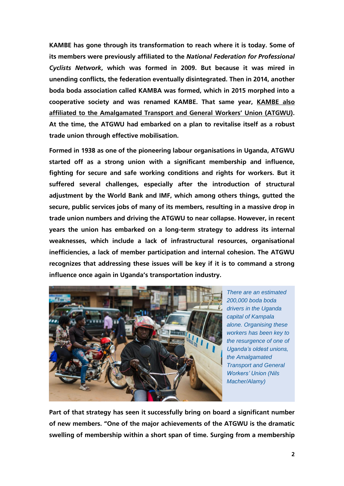**KAMBE has gone through its transformation to reach where it is today. Some of its members were previously affiliated to the** *National Federation for Professional Cyclists Network***, which was formed in 2009. But because it was mired in unending conflicts, the federation eventually disintegrated. Then in 2014, another boda boda association called KAMBA was formed, which in 2015 morphed into a cooperative society and was renamed KAMBE. That same year, [KAMBE also](https://www.equaltimes.org/in-uganda-unions-are-helping-to#.X6QL8Gj7Q2w)  [affiliated to the Amalgamated Transport and General](https://www.equaltimes.org/in-uganda-unions-are-helping-to#.X6QL8Gj7Q2w) Workers' Union (ATGWU). At the time, the ATGWU had embarked on a plan to revitalise itself as a robust trade union through effective mobilisation.** 

**Formed in 1938 as one of the pioneering labour organisations in Uganda, ATGWU started off as a strong union with a significant membership and influence, fighting for secure and safe working conditions and rights for workers. But it suffered several challenges, especially after the introduction of structural adjustment by the World Bank and IMF, which among others things, gutted the secure, public services jobs of many of its members, resulting in a massive drop in trade union numbers and driving the ATGWU to near collapse. However, in recent years the union has embarked on a long-term strategy to address its internal weaknesses, which include a lack of infrastructural resources, organisational inefficiencies, a lack of member participation and internal cohesion. The ATGWU recognizes that addressing these issues will be key if it is to command a strong influence once again in Uganda's transportation industry.** 



*There are an estimated 200,000 boda boda drivers in the Uganda capital of Kampala alone. Organising these workers has been key to the resurgence of one of Uganda's oldest unions, the Amalgamated Transport and General Workers' Union (Nils Macher/Alamy)*

**Part of that strategy has seen it successfully bring on board a significant number of new members. "One of the major achievements of the ATGWU is the dramatic swelling of membership within a short span of time. Surging from a membership**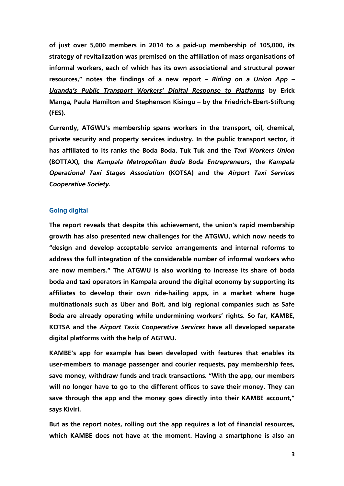**of just over 5,000 members in 2014 to a paid-up membership of 105,000, its strategy of revitalization was premised on the affiliation of mass organisations of informal workers, each of which has its own associational and structural power resources," notes the findings of a new report –** *[Riding on a Union App](http://www.fes.de/cgi-bin/gbv.cgi?id=16849&ty=pdf) – [Uganda's Public Transport Workers' Digital Response to Platforms](http://www.fes.de/cgi-bin/gbv.cgi?id=16849&ty=pdf)* **by Erick Manga, Paula Hamilton and Stephenson Kisingu – by the Friedrich-Ebert-Stiftung (FES).**

**Currently, ATGWU's membership spans workers in the transport, oil, chemical, private security and property services industry. In the public transport sector, it has affiliated to its ranks the Boda Boda, Tuk Tuk and the** *Taxi Workers Union* **(BOTTAX), the** *Kampala Metropolitan Boda Boda Entrepreneurs***, the** *Kampala Operational Taxi Stages Association* **(KOTSA) and the** *Airport Taxi Services Cooperative Society***.**

## **Going digital**

**The report reveals that despite this achievement, the union's rapid membership growth has also presented new challenges for the ATGWU, which now needs to "design and develop acceptable service arrangements and internal reforms to address the full integration of the considerable number of informal workers who are now members." The ATGWU is also working to increase its share of boda boda and taxi operators in Kampala around the digital economy by supporting its affiliates to develop their own ride-hailing apps, in a market where huge multinationals such as Uber and Bolt, and big regional companies such as Safe Boda are already operating while undermining workers' rights. So far, KAMBE, KOTSA and the** *Airport Taxis Cooperative Services* **have all developed separate digital platforms with the help of AGTWU.** 

**KAMBE's app for example has been developed with features that enables its user-members to manage passenger and courier requests, pay membership fees, save money, withdraw funds and track transactions. "With the app, our members will no longer have to go to the different offices to save their money. They can save through the app and the money goes directly into their KAMBE account," says Kiviri.**

**But as the report notes, rolling out the app requires a lot of financial resources, which KAMBE does not have at the moment. Having a smartphone is also an**